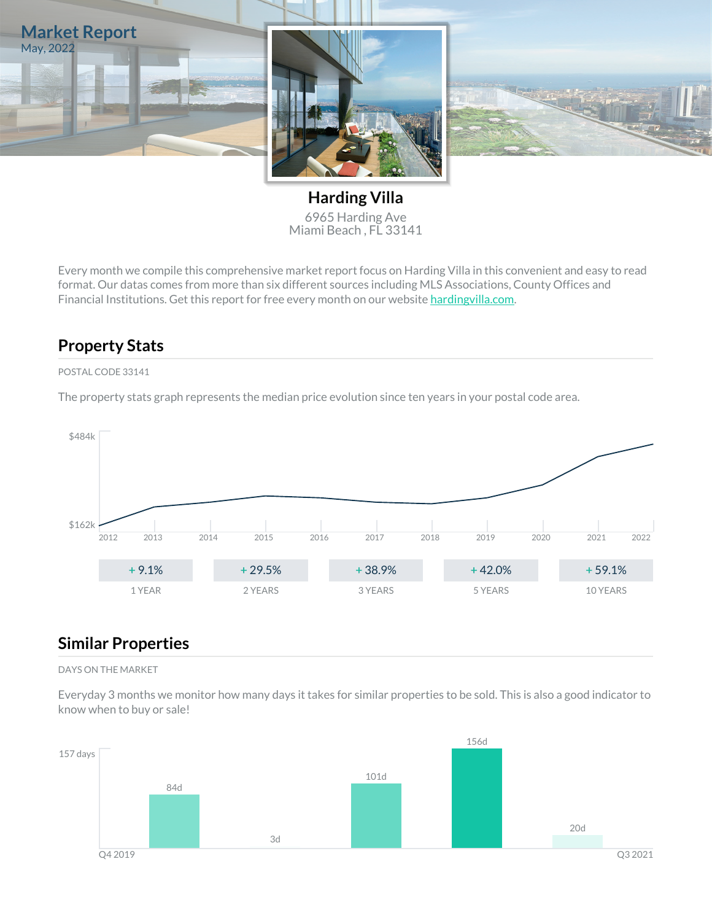

**Harding Villa** 6965 Harding Ave Miami Beach , FL 33141

Every month we compile this comprehensive market report focus on Harding Villa in this convenient and easy to read format. Our datas comes from more than six different sources including MLS Associations, County Offices and Financial Institutions. Get this report for free every month on our website [hardingvilla.com](https://hardingvilla.com).

### **Property Stats**

#### POSTAL CODE 33141

The property stats graph represents the median price evolution since ten years in your postal code area.



### **Similar Properties**

#### DAYS ON THE MARKET

Everyday 3 months we monitor how many days it takes for similar properties to be sold. This is also a good indicator to know when to buy or sale!

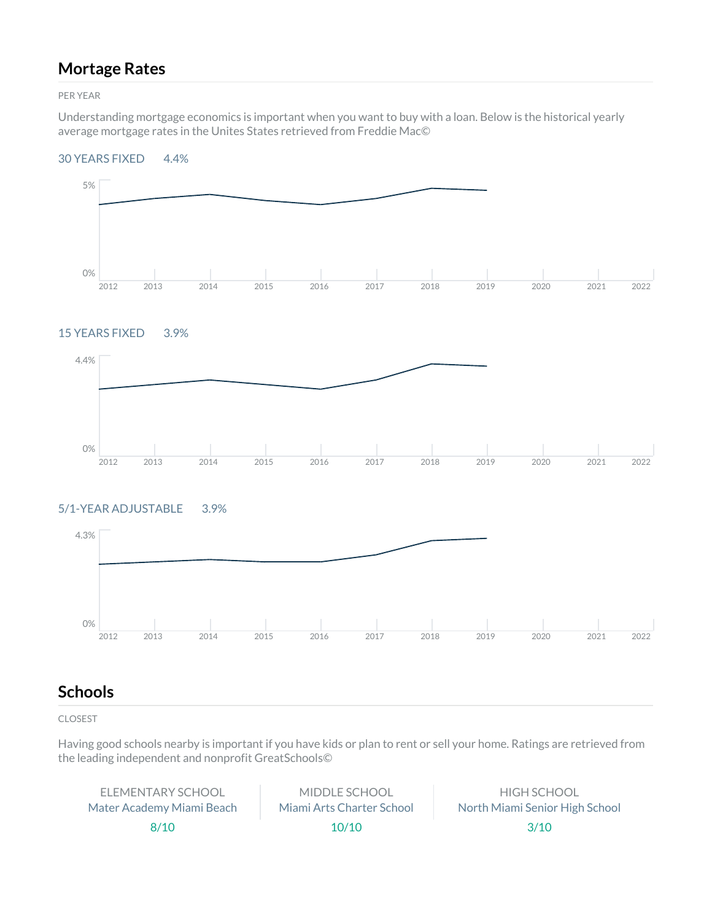### **Mortage Rates**

PER YEAR

Understanding mortgage economics is important when you want to buy with a loan. Below is the historical yearly average mortgage rates in the Unites States retrieved from Freddie Mac©

#### 30 YEARS FIXED 4.4%



#### 15 YEARS FIXED 3.9%



### 5/1-YEAR ADJUSTABLE 3.9%



### **Schools**

CLOSEST

Having good schools nearby is important if you have kids or plan to rent or sell your home. Ratings are retrieved from the leading independent and nonprofit GreatSchools©

ELEMENTARY SCHOOL Mater Academy Miami Beach 8/10

MIDDLE SCHOOL Miami Arts Charter School 10/10

HIGH SCHOOL North Miami Senior High School 3/10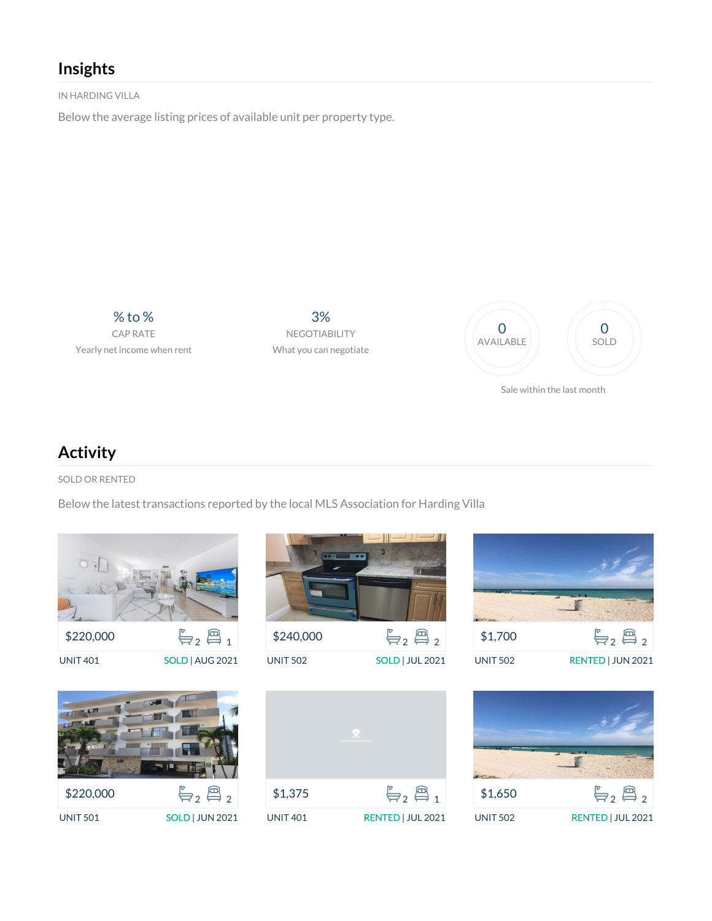### **Insights**

IN HARDING VILLA

Below the average listing prices of available unit per property type.

% to % CAP RATE Yearly net income when rent

3% NEGOTIABILITY What you can negotiate



**Activity**

SOLD OR RENTED

Below the latest transactions reported by the local MLS Association for Harding Villa



| \$220,000       | $\leftarrow, \n \mathbb{B}$ , |
|-----------------|-------------------------------|
| <b>UNIT 501</b> | <b>SOLD   JUN 2021</b>        |



UNIT 502 SOLD | JUL 2021





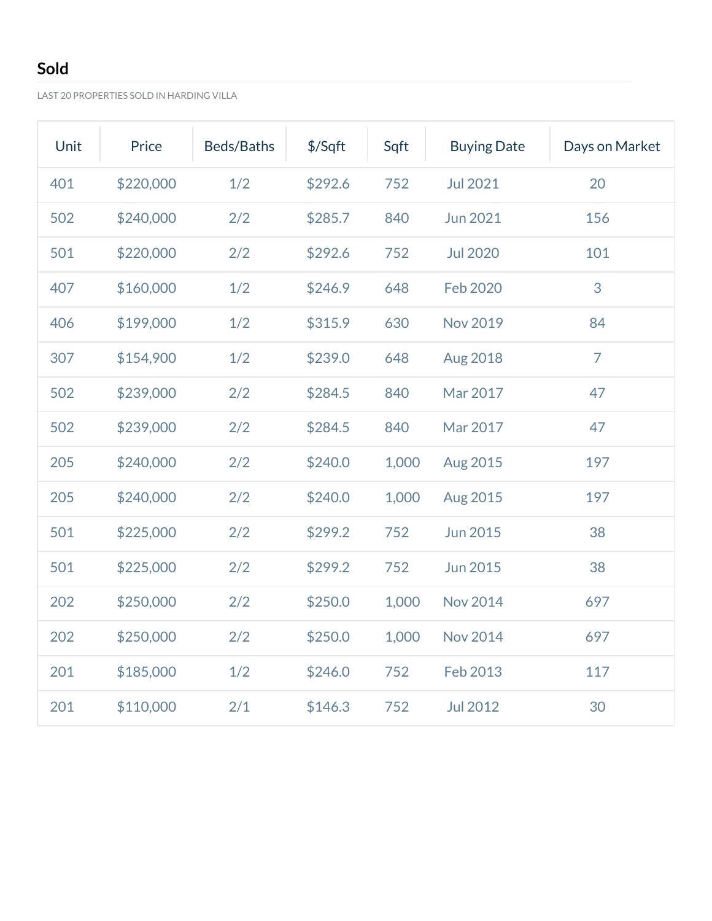# **Sold**

LAST 20 PROPERTIES SOLD IN HARDING VILLA

| Unit | Price     | Beds/Baths | \$/Sqft | Sqft  | <b>Buying Date</b> | Days on Market |
|------|-----------|------------|---------|-------|--------------------|----------------|
| 401  | \$220,000 | 1/2        | \$292.6 | 752   | <b>Jul 2021</b>    | 20             |
| 502  | \$240,000 | 2/2        | \$285.7 | 840   | <b>Jun 2021</b>    | 156            |
| 501  | \$220,000 | 2/2        | \$292.6 | 752   | <b>Jul 2020</b>    | 101            |
| 407  | \$160,000 | 1/2        | \$246.9 | 648   | Feb 2020           | 3              |
| 406  | \$199,000 | 1/2        | \$315.9 | 630   | <b>Nov 2019</b>    | 84             |
| 307  | \$154,900 | 1/2        | \$239.0 | 648   | <b>Aug 2018</b>    | $\overline{7}$ |
| 502  | \$239,000 | 2/2        | \$284.5 | 840   | Mar 2017           | 47             |
| 502  | \$239,000 | 2/2        | \$284.5 | 840   | Mar 2017           | 47             |
| 205  | \$240,000 | 2/2        | \$240.0 | 1,000 | Aug 2015           | 197            |
| 205  | \$240,000 | 2/2        | \$240.0 | 1,000 | Aug 2015           | 197            |
| 501  | \$225,000 | 2/2        | \$299.2 | 752   | <b>Jun 2015</b>    | 38             |
| 501  | \$225,000 | 2/2        | \$299.2 | 752   | <b>Jun 2015</b>    | 38             |
| 202  | \$250,000 | 2/2        | \$250.0 | 1,000 | <b>Nov 2014</b>    | 697            |
| 202  | \$250,000 | 2/2        | \$250.0 | 1,000 | <b>Nov 2014</b>    | 697            |
| 201  | \$185,000 | 1/2        | \$246.0 | 752   | Feb 2013           | 117            |
| 201  | \$110,000 | 2/1        | \$146.3 | 752   | <b>Jul 2012</b>    | 30             |